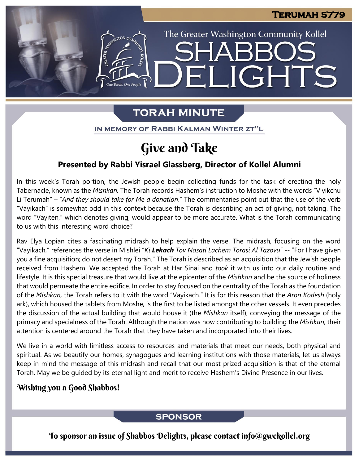The Greater Washington Community Kollel

LIGHTS

# **TORAH MINUTE**

EI

IN MEMORY OF RABBI KALMAN WINTER ZT"L

# Give and Take

## **Presented by Rabbi Yisrael Glassberg, Director of Kollel Alumni**

In this week's Torah portion, the Jewish people begin collecting funds for the task of erecting the holy Tabernacle, known as the *Mishkan.* The Torah records Hashem's instruction to Moshe with the words "V'yikchu Li Terumah" – "*And they should take for Me a donation*." The commentaries point out that the use of the verb "Vayikach" is somewhat odd in this context because the Torah is describing an act of giving, not taking. The word "Vayiten," which denotes giving, would appear to be more accurate. What is the Torah communicating to us with this interesting word choice?

Rav Elya Lopian cites a fascinating midrash to help explain the verse. The midrash, focusing on the word "Vayikach," references the verse in Mishlei "*Ki Lekach Tov Nasati Lachem Torasi Al Tazovu*" -- "For I have given you a fine acquisition; do not desert my Torah." The Torah is described as an acquisition that the Jewish people received from Hashem. We accepted the Torah at Har Sinai and *took* it with us into our daily routine and lifestyle. It is this special treasure that would live at the epicenter of the *Mishkan* and be the source of holiness that would permeate the entire edifice. In order to stay focused on the centrality of the Torah as the foundation of the *Mishkan,* the Torah refers to it with the word "Vayikach." It is for this reason that the *Aron Kodesh* (holy ark), which housed the tablets from Moshe, is the first to be listed amongst the other vessels. It even precedes the discussion of the actual building that would house it (the *Mishkan* itself), conveying the message of the primacy and specialness of the Torah. Although the nation was now contributing to building the *Mishkan,* their attention is centered around the Torah that they have taken and incorporated into their lives.

We live in a world with limitless access to resources and materials that meet our needs, both physical and spiritual. As we beautify our homes, synagogues and learning institutions with those materials, let us always keep in mind the message of this midrash and recall that our most prized acquisition is that of the eternal Torah. May we be guided by its eternal light and merit to receive Hashem's Divine Presence in our lives.

## Wishing you a Good Shabbos!

## **SPONSOR**

To sponsor an issue of Shabbos Delights, please contact info@gwckollel.org